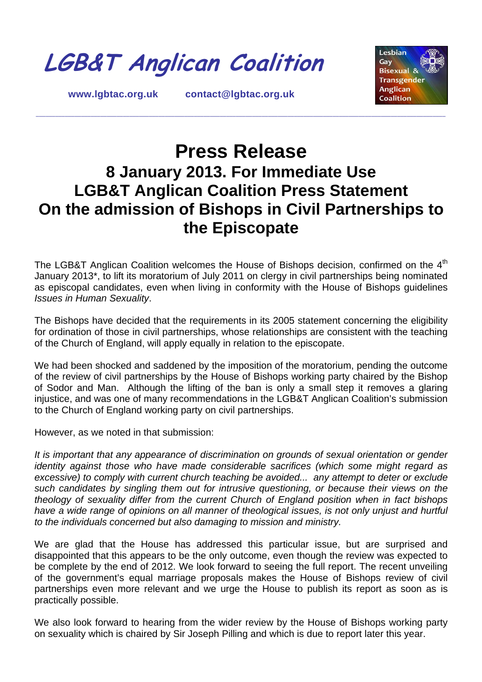$\mathsf{LGB}\&\mathsf{T}$  Anglican Coalition

**[www.lgbtac.org.uk](http://www.lgbtac.org.uk/) [contact@lgbtac.org.uk](mailto:contact@lgbtac.org.uk)**

\_\_\_\_\_\_\_\_\_\_\_\_\_\_\_\_\_\_\_\_\_\_\_\_\_\_\_\_\_\_\_\_\_\_\_\_\_\_\_\_\_\_\_\_\_\_\_\_\_\_\_\_\_\_\_\_\_\_\_\_\_\_\_\_\_\_\_\_\_\_\_\_\_\_\_\_\_\_\_\_\_\_\_\_\_\_\_\_\_\_\_\_\_\_\_\_\_\_\_\_\_\_\_\_\_\_\_\_\_\_\_\_\_\_\_\_\_\_\_\_\_\_\_\_\_\_\_



## **Press Release 8 January 2013. For Immediate Use LGB&T Anglican Coalition Press Statement On the admission of Bishops in Civil Partnerships to the Episcopate**

The LGB&T Anglican Coalition welcomes the House of Bishops decision, confirmed on the 4<sup>th</sup> January 2013\*, to lift its moratorium of July 2011 on clergy in civil partnerships being nominated as episcopal candidates, even when living in conformity with the House of Bishops guidelines *Issues in Human Sexuality*.

The Bishops have decided that the requirements in its 2005 statement concerning the eligibility for ordination of those in civil partnerships, whose relationships are consistent with the teaching of the Church of England, will apply equally in relation to the episcopate.

We had been shocked and saddened by the imposition of the moratorium, pending the outcome of the review of civil partnerships by the House of Bishops working party chaired by the Bishop of Sodor and Man. Although the lifting of the ban is only a small step it removes a glaring injustice, and was one of many recommendations in the LGB&T Anglican Coalition's submission to the Church of England working party on civil partnerships.

However, as we noted in that submission:

*It is important that any appearance of discrimination on grounds of sexual orientation or gender identity against those who have made considerable sacrifices (which some might regard as excessive) to comply with current church teaching be avoided... any attempt to deter or exclude such candidates by singling them out for intrusive questioning, or because their views on the theology of sexuality differ from the current Church of England position when in fact bishops*  have a wide range of opinions on all manner of theological issues, is not only unjust and hurtful *to the individuals concerned but also damaging to mission and ministry.* 

We are glad that the House has addressed this particular issue, but are surprised and disappointed that this appears to be the only outcome, even though the review was expected to be complete by the end of 2012. We look forward to seeing the full report. The recent unveiling of the government's equal marriage proposals makes the House of Bishops review of civil partnerships even more relevant and we urge the House to publish its report as soon as is practically possible.

We also look forward to hearing from the wider review by the House of Bishops working party on sexuality which is chaired by Sir Joseph Pilling and which is due to report later this year.